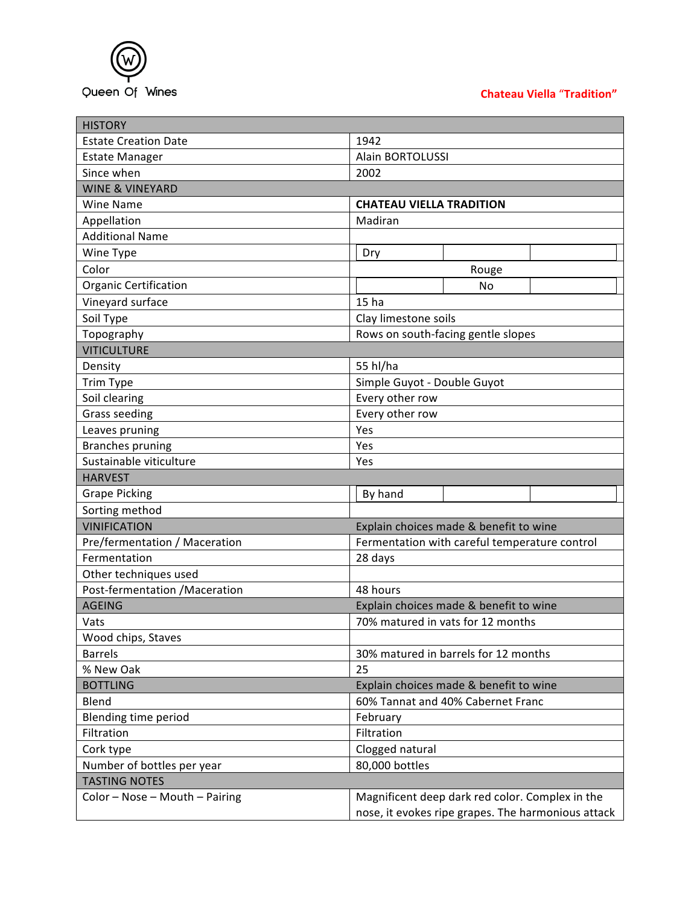

## **Chateau Viella** "**Tradition"**

| <b>HISTORY</b>                 |                                                    |
|--------------------------------|----------------------------------------------------|
| <b>Estate Creation Date</b>    | 1942                                               |
| <b>Estate Manager</b>          | Alain BORTOLUSSI                                   |
| Since when                     | 2002                                               |
| <b>WINE &amp; VINEYARD</b>     |                                                    |
| <b>Wine Name</b>               | <b>CHATEAU VIELLA TRADITION</b>                    |
| Appellation                    | Madiran                                            |
| <b>Additional Name</b>         |                                                    |
| Wine Type                      | Dry                                                |
| Color                          | Rouge                                              |
| <b>Organic Certification</b>   | No                                                 |
| Vineyard surface               | 15 <sub>ha</sub>                                   |
| Soil Type                      | Clay limestone soils                               |
| Topography                     | Rows on south-facing gentle slopes                 |
| <b>VITICULTURE</b>             |                                                    |
| Density                        | 55 hl/ha                                           |
| Trim Type                      | Simple Guyot - Double Guyot                        |
| Soil clearing                  | Every other row                                    |
| <b>Grass seeding</b>           | Every other row                                    |
| Leaves pruning                 | Yes                                                |
| <b>Branches pruning</b>        | Yes                                                |
| Sustainable viticulture        | Yes                                                |
| <b>HARVEST</b>                 |                                                    |
| <b>Grape Picking</b>           | By hand                                            |
| Sorting method                 |                                                    |
| <b>VINIFICATION</b>            | Explain choices made & benefit to wine             |
| Pre/fermentation / Maceration  | Fermentation with careful temperature control      |
| Fermentation                   | 28 days                                            |
| Other techniques used          |                                                    |
| Post-fermentation /Maceration  | 48 hours                                           |
| <b>AGEING</b>                  | Explain choices made & benefit to wine             |
| Vats                           | 70% matured in vats for 12 months                  |
| Wood chips, Staves             |                                                    |
| <b>Barrels</b>                 | 30% matured in barrels for 12 months               |
| % New Oak                      | 25                                                 |
| <b>BOTTLING</b>                | Explain choices made & benefit to wine             |
| Blend                          | 60% Tannat and 40% Cabernet Franc                  |
| Blending time period           | February                                           |
| Filtration                     | Filtration                                         |
| Cork type                      | Clogged natural                                    |
| Number of bottles per year     | 80,000 bottles                                     |
| <b>TASTING NOTES</b>           |                                                    |
| Color - Nose - Mouth - Pairing | Magnificent deep dark red color. Complex in the    |
|                                | nose, it evokes ripe grapes. The harmonious attack |
|                                |                                                    |